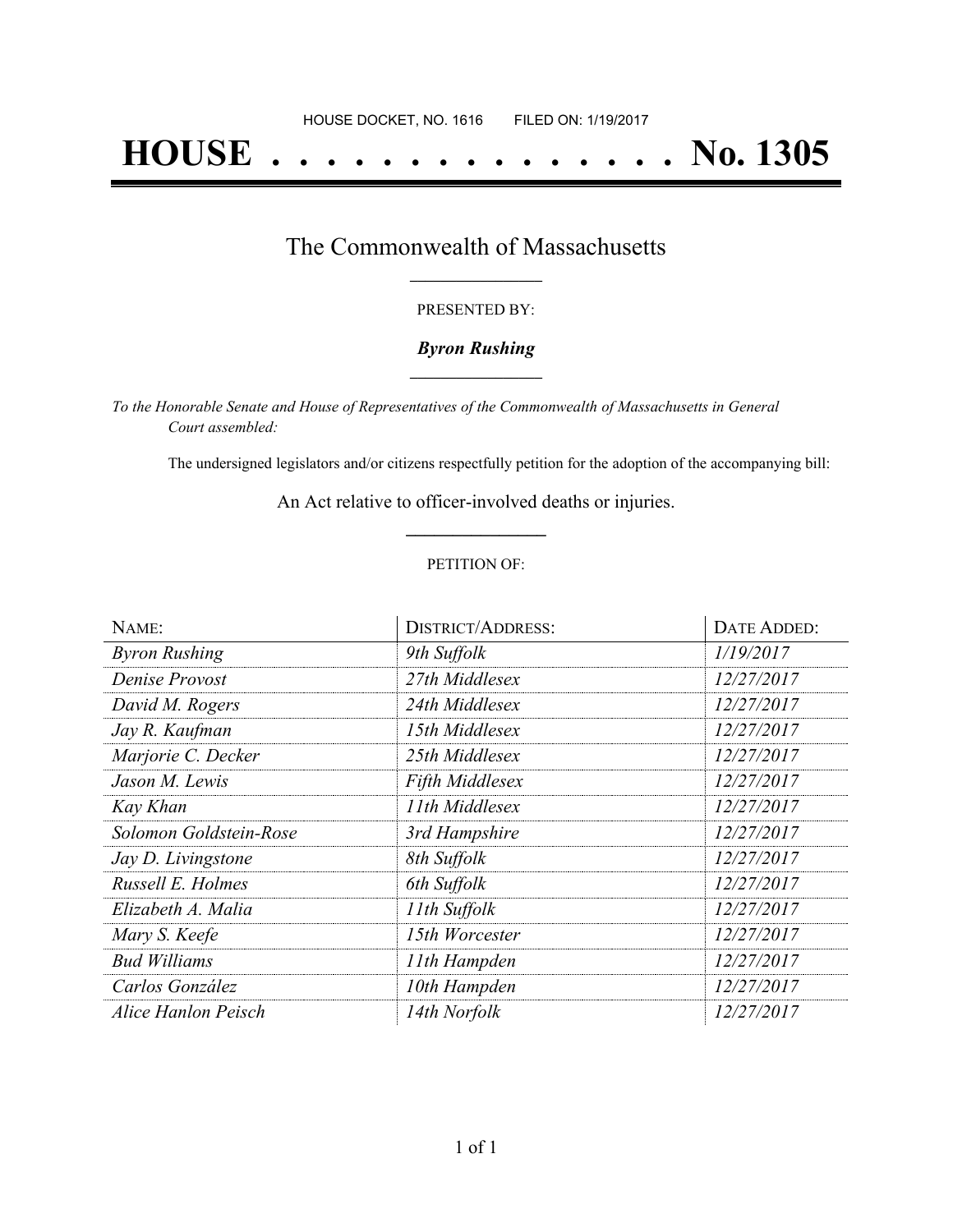# **HOUSE . . . . . . . . . . . . . . . No. 1305**

### The Commonwealth of Massachusetts **\_\_\_\_\_\_\_\_\_\_\_\_\_\_\_\_\_**

#### PRESENTED BY:

#### *Byron Rushing* **\_\_\_\_\_\_\_\_\_\_\_\_\_\_\_\_\_**

*To the Honorable Senate and House of Representatives of the Commonwealth of Massachusetts in General Court assembled:*

The undersigned legislators and/or citizens respectfully petition for the adoption of the accompanying bill:

An Act relative to officer-involved deaths or injuries. **\_\_\_\_\_\_\_\_\_\_\_\_\_\_\_**

#### PETITION OF:

| NAME:                  | <b>DISTRICT/ADDRESS:</b> | DATE ADDED: |
|------------------------|--------------------------|-------------|
| <b>Byron Rushing</b>   | 9th Suffolk              | 1/19/2017   |
| Denise Provost         | 27th Middlesex           | 12/27/2017  |
| David M. Rogers        | 24th Middlesex           | 12/27/2017  |
| Jay R. Kaufman         | 15th Middlesex           | 12/27/2017  |
| Marjorie C. Decker     | 25th Middlesex           | 12/27/2017  |
| Jason M. Lewis         | <b>Fifth Middlesex</b>   | 12/27/2017  |
| Kay Khan               | 11th Middlesex           | 12/27/2017  |
| Solomon Goldstein-Rose | 3rd Hampshire            | 12/27/2017  |
| Jay D. Livingstone     | 8th Suffolk              | 12/27/2017  |
| Russell E. Holmes      | 6th Suffolk              | 12/27/2017  |
| Elizabeth A. Malia     | 11th Suffolk             | 12/27/2017  |
| Mary S. Keefe          | 15th Worcester           | 12/27/2017  |
| <b>Bud Williams</b>    | 11th Hampden             | 12/27/2017  |
| Carlos González        | 10th Hampden             | 12/27/2017  |
| Alice Hanlon Peisch    | 14th Norfolk             | 12/27/2017  |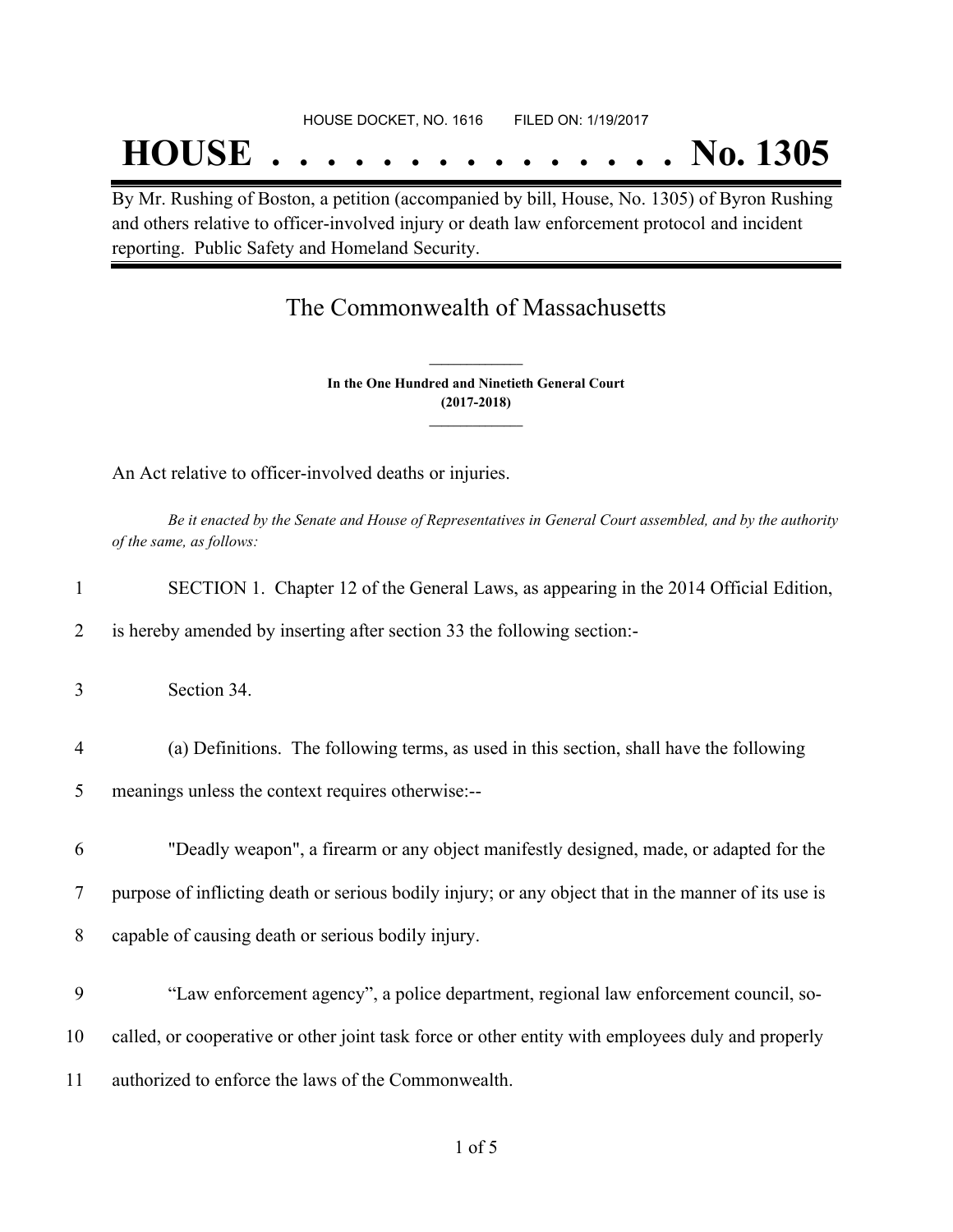## **HOUSE . . . . . . . . . . . . . . . No. 1305**

By Mr. Rushing of Boston, a petition (accompanied by bill, House, No. 1305) of Byron Rushing and others relative to officer-involved injury or death law enforcement protocol and incident reporting. Public Safety and Homeland Security.

## The Commonwealth of Massachusetts

**In the One Hundred and Ninetieth General Court (2017-2018) \_\_\_\_\_\_\_\_\_\_\_\_\_\_\_**

**\_\_\_\_\_\_\_\_\_\_\_\_\_\_\_**

An Act relative to officer-involved deaths or injuries.

Be it enacted by the Senate and House of Representatives in General Court assembled, and by the authority *of the same, as follows:*

| 1              | SECTION 1. Chapter 12 of the General Laws, as appearing in the 2014 Official Edition,                |
|----------------|------------------------------------------------------------------------------------------------------|
| 2              | is hereby amended by inserting after section 33 the following section:-                              |
| 3              | Section 34.                                                                                          |
| $\overline{4}$ | (a) Definitions. The following terms, as used in this section, shall have the following              |
| 5              | meanings unless the context requires otherwise:--                                                    |
|                |                                                                                                      |
| 6              | "Deadly weapon", a firearm or any object manifestly designed, made, or adapted for the               |
| 7              | purpose of inflicting death or serious bodily injury; or any object that in the manner of its use is |
| 8              | capable of causing death or serious bodily injury.                                                   |
|                |                                                                                                      |
| 9              | "Law enforcement agency", a police department, regional law enforcement council, so-                 |
| 10             | called, or cooperative or other joint task force or other entity with employees duly and properly    |
| 11             | authorized to enforce the laws of the Commonwealth.                                                  |
|                |                                                                                                      |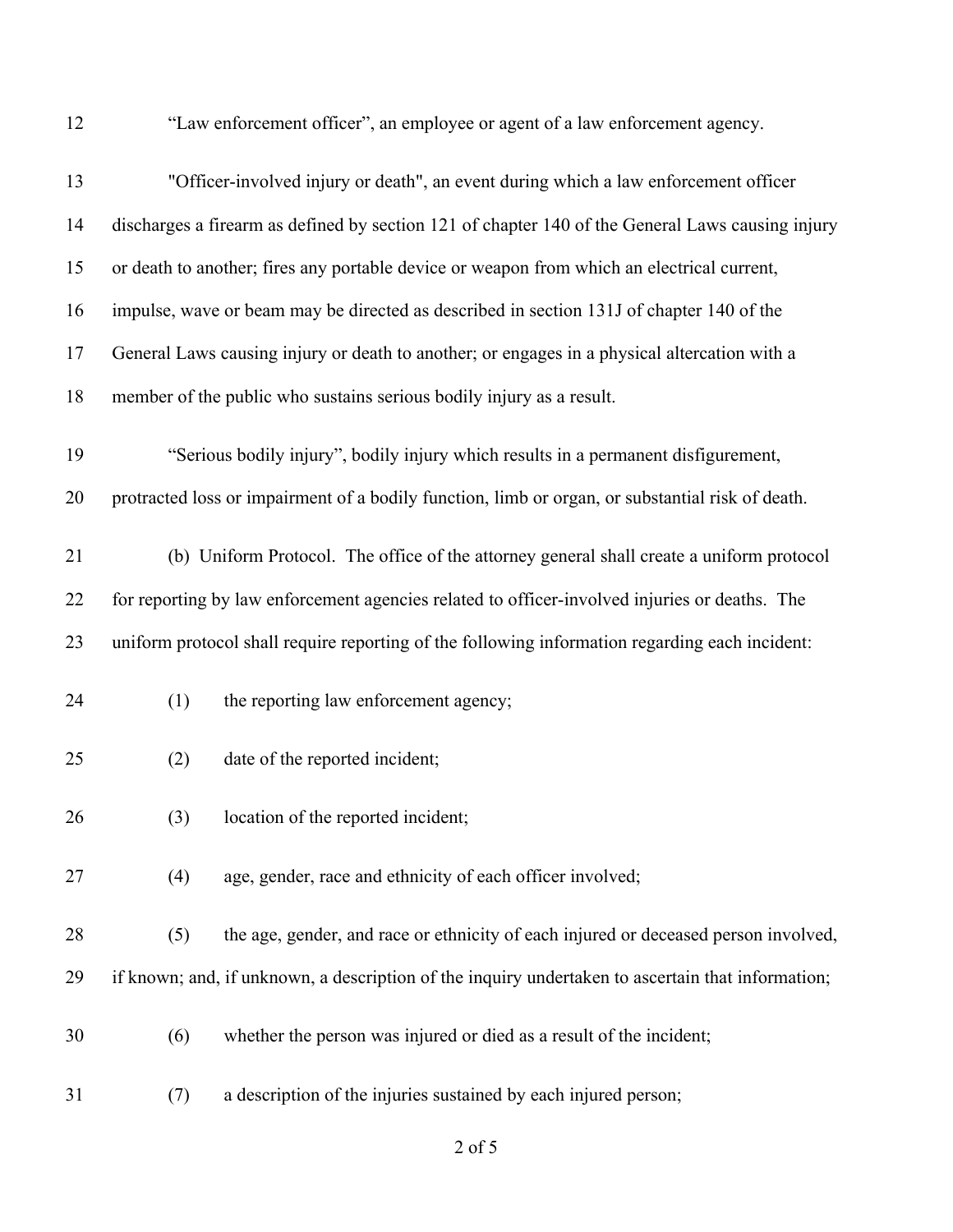"Law enforcement officer", an employee or agent of a law enforcement agency.

| 13 | "Officer-involved injury or death", an event during which a law enforcement officer               |
|----|---------------------------------------------------------------------------------------------------|
| 14 | discharges a firearm as defined by section 121 of chapter 140 of the General Laws causing injury  |
| 15 | or death to another; fires any portable device or weapon from which an electrical current,        |
| 16 | impulse, wave or beam may be directed as described in section 131J of chapter 140 of the          |
| 17 | General Laws causing injury or death to another; or engages in a physical altercation with a      |
| 18 | member of the public who sustains serious bodily injury as a result.                              |
| 19 | "Serious bodily injury", bodily injury which results in a permanent disfigurement,                |
| 20 | protracted loss or impairment of a bodily function, limb or organ, or substantial risk of death.  |
| 21 | (b) Uniform Protocol. The office of the attorney general shall create a uniform protocol          |
| 22 | for reporting by law enforcement agencies related to officer-involved injuries or deaths. The     |
| 23 | uniform protocol shall require reporting of the following information regarding each incident:    |
| 24 | (1)<br>the reporting law enforcement agency;                                                      |
| 25 | date of the reported incident;<br>(2)                                                             |
| 26 | location of the reported incident;<br>(3)                                                         |
| 27 | age, gender, race and ethnicity of each officer involved;<br>(4)                                  |
| 28 | the age, gender, and race or ethnicity of each injured or deceased person involved,<br>(5)        |
| 29 | if known; and, if unknown, a description of the inquiry undertaken to ascertain that information; |
| 30 | whether the person was injured or died as a result of the incident;<br>(6)                        |
| 31 | a description of the injuries sustained by each injured person;<br>(7)                            |

of 5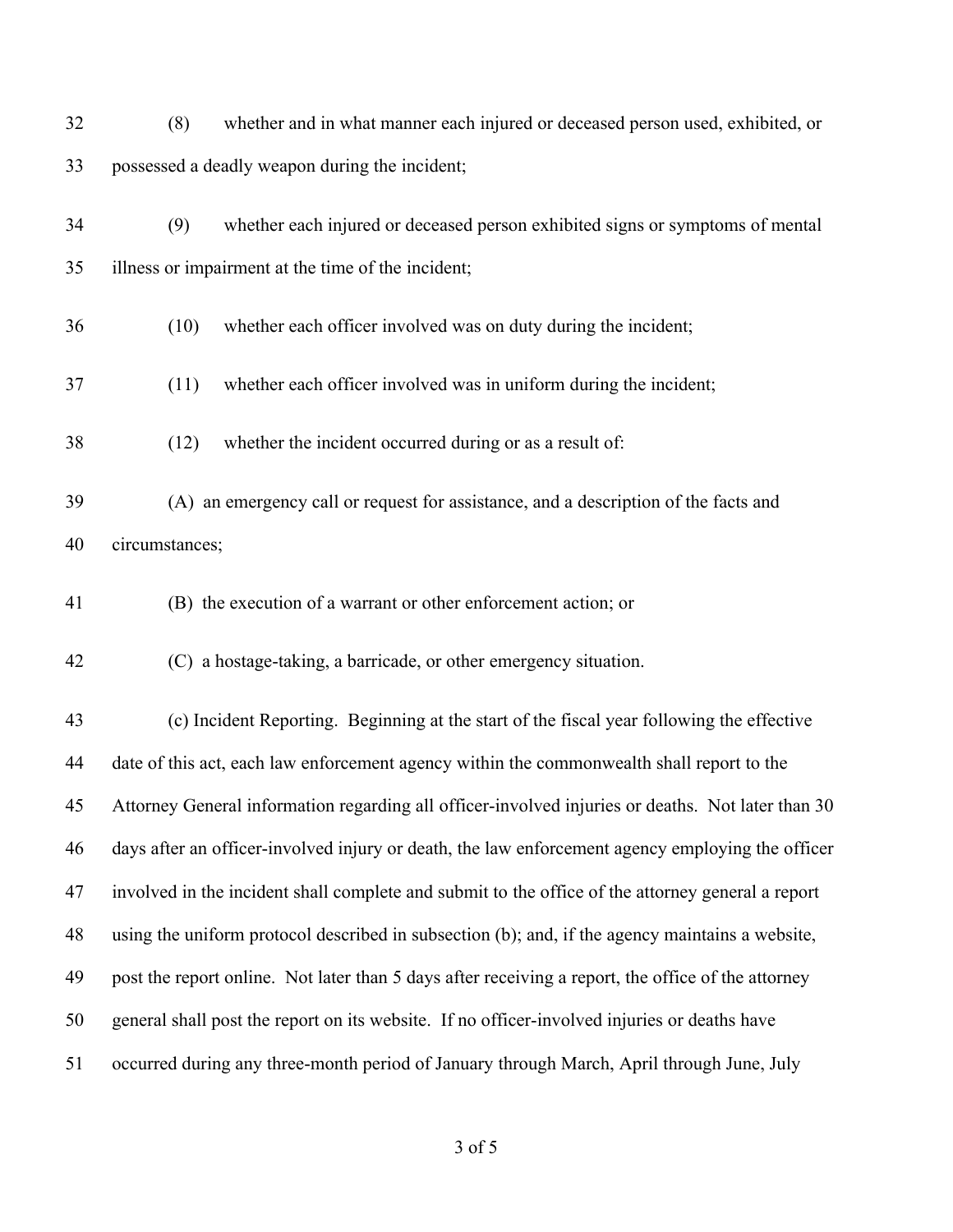| 32 | whether and in what manner each injured or deceased person used, exhibited, or<br>(8)              |
|----|----------------------------------------------------------------------------------------------------|
| 33 | possessed a deadly weapon during the incident;                                                     |
| 34 | whether each injured or deceased person exhibited signs or symptoms of mental<br>(9)               |
| 35 | illness or impairment at the time of the incident;                                                 |
| 36 | whether each officer involved was on duty during the incident;<br>(10)                             |
| 37 | whether each officer involved was in uniform during the incident;<br>(11)                          |
| 38 | whether the incident occurred during or as a result of:<br>(12)                                    |
| 39 | (A) an emergency call or request for assistance, and a description of the facts and                |
| 40 | circumstances;                                                                                     |
| 41 | (B) the execution of a warrant or other enforcement action; or                                     |
| 42 | (C) a hostage-taking, a barricade, or other emergency situation.                                   |
| 43 | (c) Incident Reporting. Beginning at the start of the fiscal year following the effective          |
| 44 | date of this act, each law enforcement agency within the commonwealth shall report to the          |
| 45 | Attorney General information regarding all officer-involved injuries or deaths. Not later than 30  |
| 46 | days after an officer-involved injury or death, the law enforcement agency employing the officer   |
| 47 | involved in the incident shall complete and submit to the office of the attorney general a report  |
| 48 | using the uniform protocol described in subsection (b); and, if the agency maintains a website,    |
| 49 | post the report online. Not later than 5 days after receiving a report, the office of the attorney |
| 50 | general shall post the report on its website. If no officer-involved injuries or deaths have       |
| 51 | occurred during any three-month period of January through March, April through June, July          |

of 5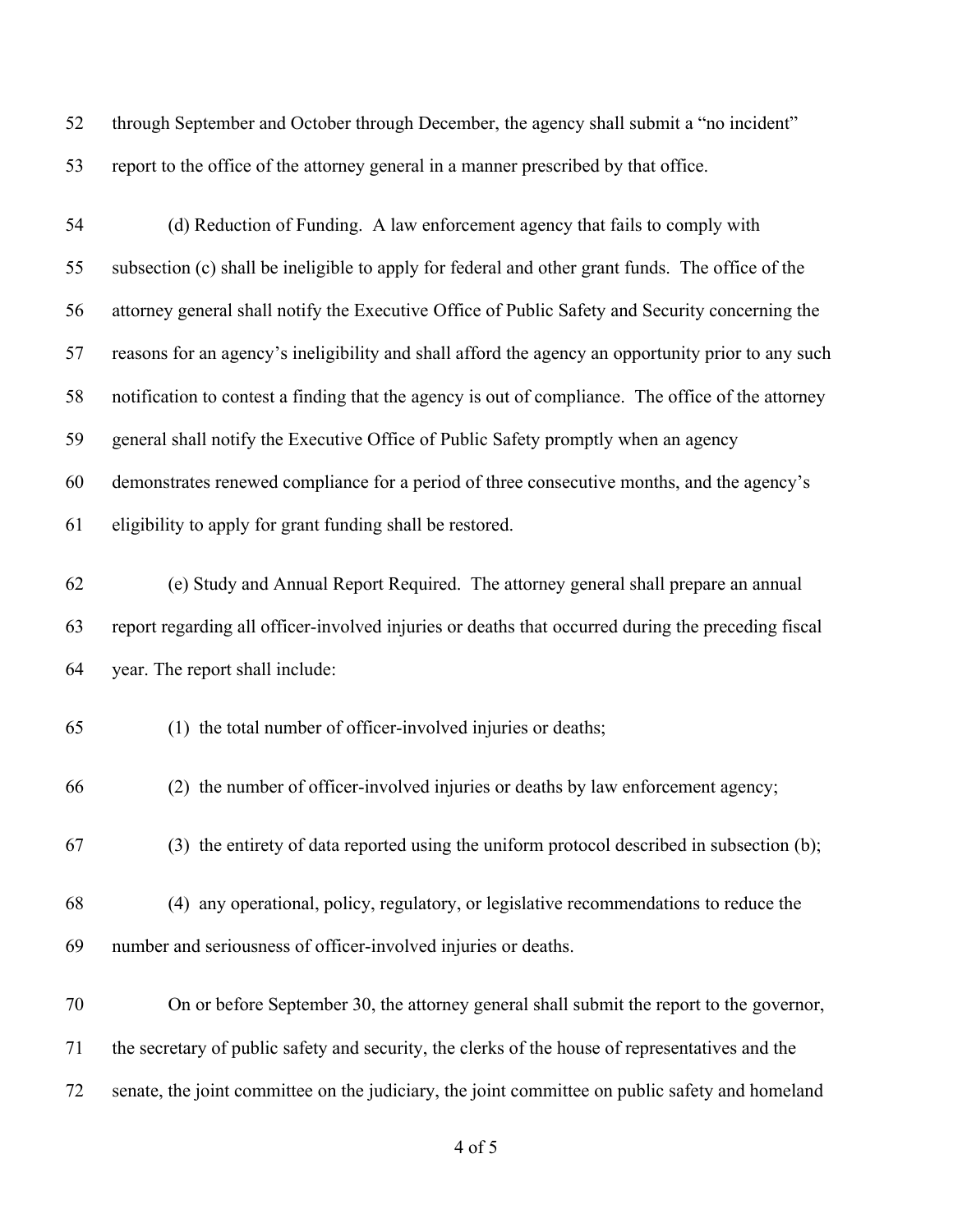through September and October through December, the agency shall submit a "no incident" report to the office of the attorney general in a manner prescribed by that office.

| 54 | (d) Reduction of Funding. A law enforcement agency that fails to comply with                       |
|----|----------------------------------------------------------------------------------------------------|
| 55 | subsection (c) shall be ineligible to apply for federal and other grant funds. The office of the   |
| 56 | attorney general shall notify the Executive Office of Public Safety and Security concerning the    |
| 57 | reasons for an agency's ineligibility and shall afford the agency an opportunity prior to any such |
| 58 | notification to contest a finding that the agency is out of compliance. The office of the attorney |
| 59 | general shall notify the Executive Office of Public Safety promptly when an agency                 |
| 60 | demonstrates renewed compliance for a period of three consecutive months, and the agency's         |
| 61 | eligibility to apply for grant funding shall be restored.                                          |
| 62 | (e) Study and Annual Report Required. The attorney general shall prepare an annual                 |
| 63 | report regarding all officer-involved injuries or deaths that occurred during the preceding fiscal |
| 64 | year. The report shall include:                                                                    |
| 65 | (1) the total number of officer-involved injuries or deaths;                                       |
| 66 | (2) the number of officer-involved injuries or deaths by law enforcement agency;                   |
| 67 | (3) the entirety of data reported using the uniform protocol described in subsection (b);          |
| 68 | (4) any operational, policy, regulatory, or legislative recommendations to reduce the              |
| 69 | number and seriousness of officer-involved injuries or deaths.                                     |
| 70 | On or before September 30, the attorney general shall submit the report to the governor,           |
| 71 | the secretary of public safety and security, the clerks of the house of representatives and the    |
| 72 | senate, the joint committee on the judiciary, the joint committee on public safety and homeland    |

of 5